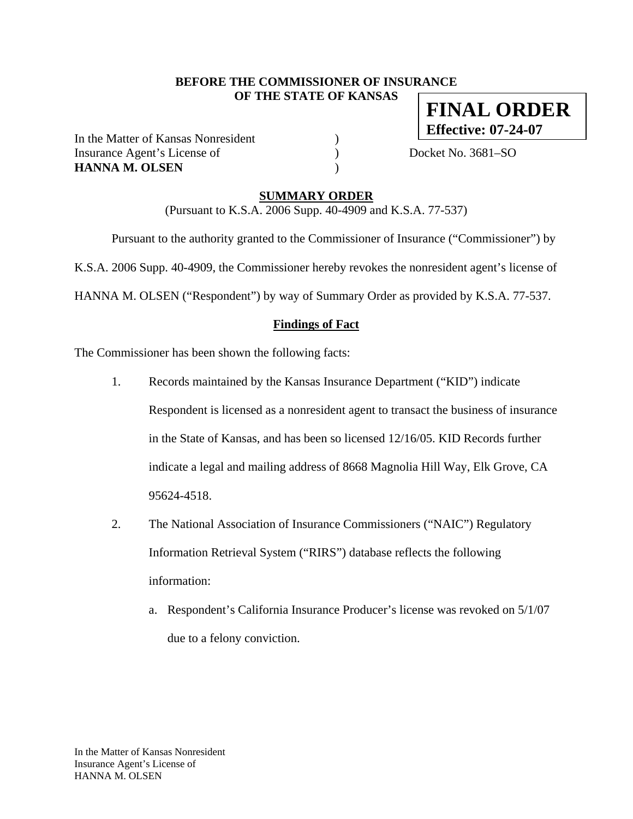#### **BEFORE THE COMMISSIONER OF INSURANCE OF THE STATE OF KANSAS**

In the Matter of Kansas Nonresident ) Insurance Agent's License of  $Docket No. 3681-SO$ **HANNA M. OLSEN** )

**FINAL ORDER Effective: 07-24-07**

**SUMMARY ORDER**

(Pursuant to K.S.A. 2006 Supp. 40-4909 and K.S.A. 77-537)

Pursuant to the authority granted to the Commissioner of Insurance ("Commissioner") by

K.S.A. 2006 Supp. 40-4909, the Commissioner hereby revokes the nonresident agent's license of

HANNA M. OLSEN ("Respondent") by way of Summary Order as provided by K.S.A. 77-537.

#### **Findings of Fact**

The Commissioner has been shown the following facts:

- 1. Records maintained by the Kansas Insurance Department ("KID") indicate Respondent is licensed as a nonresident agent to transact the business of insurance in the State of Kansas, and has been so licensed 12/16/05. KID Records further indicate a legal and mailing address of 8668 Magnolia Hill Way, Elk Grove, CA 95624-4518.
- 2. The National Association of Insurance Commissioners ("NAIC") Regulatory Information Retrieval System ("RIRS") database reflects the following information:
	- a. Respondent's California Insurance Producer's license was revoked on 5/1/07 due to a felony conviction.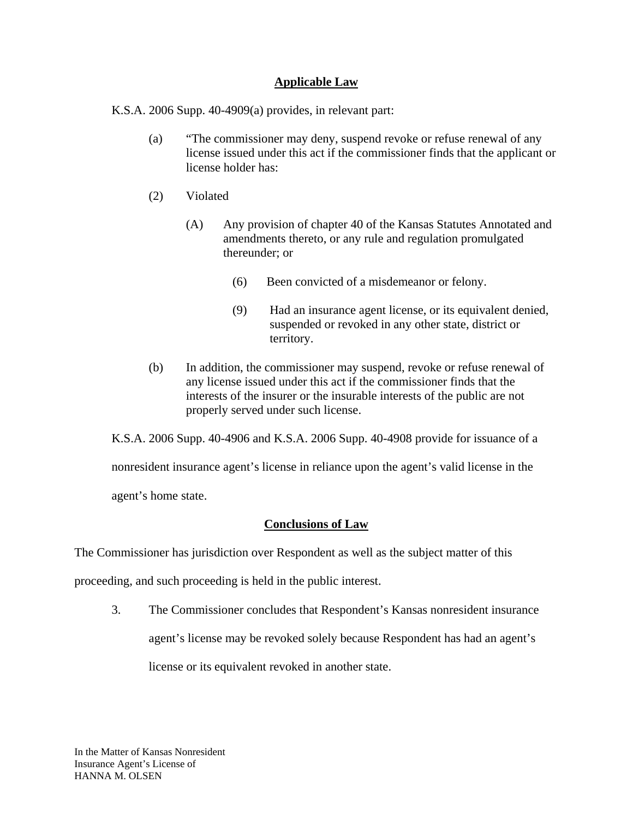#### **Applicable Law**

K.S.A. 2006 Supp. 40-4909(a) provides, in relevant part:

- (a) "The commissioner may deny, suspend revoke or refuse renewal of any license issued under this act if the commissioner finds that the applicant or license holder has:
- (2) Violated
	- (A) Any provision of chapter 40 of the Kansas Statutes Annotated and amendments thereto, or any rule and regulation promulgated thereunder; or
		- (6) Been convicted of a misdemeanor or felony.
		- (9) Had an insurance agent license, or its equivalent denied, suspended or revoked in any other state, district or territory.
- (b) In addition, the commissioner may suspend, revoke or refuse renewal of any license issued under this act if the commissioner finds that the interests of the insurer or the insurable interests of the public are not properly served under such license.

K.S.A. 2006 Supp. 40-4906 and K.S.A. 2006 Supp. 40-4908 provide for issuance of a

nonresident insurance agent's license in reliance upon the agent's valid license in the

agent's home state.

### **Conclusions of Law**

The Commissioner has jurisdiction over Respondent as well as the subject matter of this

proceeding, and such proceeding is held in the public interest.

3. The Commissioner concludes that Respondent's Kansas nonresident insurance agent's license may be revoked solely because Respondent has had an agent's license or its equivalent revoked in another state.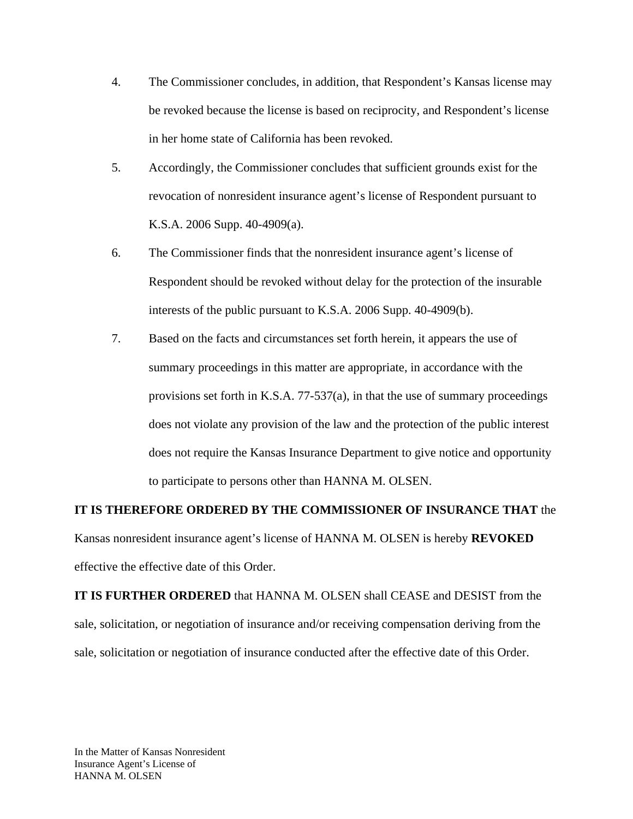- 4. The Commissioner concludes, in addition, that Respondent's Kansas license may be revoked because the license is based on reciprocity, and Respondent's license in her home state of California has been revoked.
- 5. Accordingly, the Commissioner concludes that sufficient grounds exist for the revocation of nonresident insurance agent's license of Respondent pursuant to K.S.A. 2006 Supp. 40-4909(a).
- 6. The Commissioner finds that the nonresident insurance agent's license of Respondent should be revoked without delay for the protection of the insurable interests of the public pursuant to K.S.A. 2006 Supp. 40-4909(b).
- 7. Based on the facts and circumstances set forth herein, it appears the use of summary proceedings in this matter are appropriate, in accordance with the provisions set forth in K.S.A. 77-537(a), in that the use of summary proceedings does not violate any provision of the law and the protection of the public interest does not require the Kansas Insurance Department to give notice and opportunity to participate to persons other than HANNA M. OLSEN.

### **IT IS THEREFORE ORDERED BY THE COMMISSIONER OF INSURANCE THAT** the

Kansas nonresident insurance agent's license of HANNA M. OLSEN is hereby **REVOKED**  effective the effective date of this Order.

**IT IS FURTHER ORDERED** that HANNA M. OLSEN shall CEASE and DESIST from the sale, solicitation, or negotiation of insurance and/or receiving compensation deriving from the sale, solicitation or negotiation of insurance conducted after the effective date of this Order.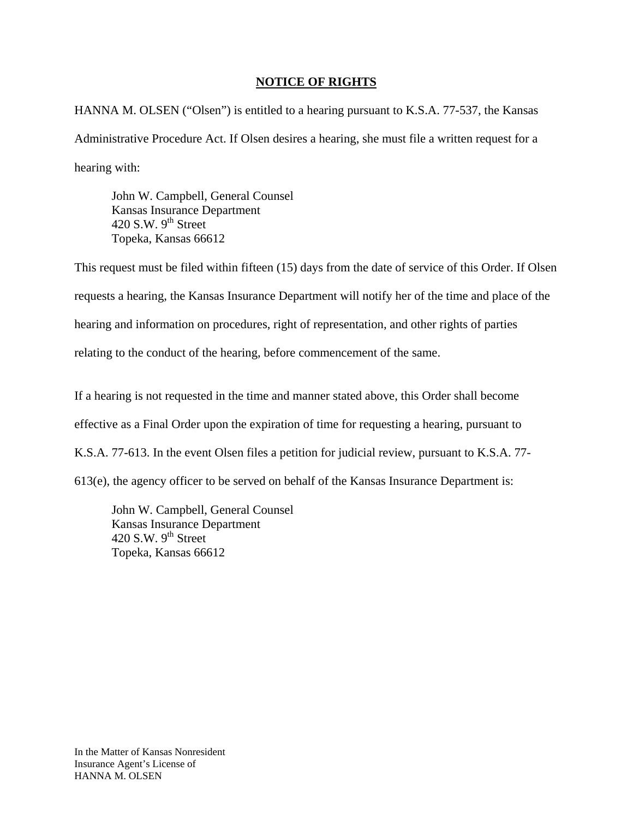#### **NOTICE OF RIGHTS**

HANNA M. OLSEN ("Olsen") is entitled to a hearing pursuant to K.S.A. 77-537, the Kansas Administrative Procedure Act. If Olsen desires a hearing, she must file a written request for a hearing with:

 John W. Campbell, General Counsel Kansas Insurance Department 420 S.W.  $9<sup>th</sup>$  Street Topeka, Kansas 66612

This request must be filed within fifteen (15) days from the date of service of this Order. If Olsen requests a hearing, the Kansas Insurance Department will notify her of the time and place of the hearing and information on procedures, right of representation, and other rights of parties relating to the conduct of the hearing, before commencement of the same.

If a hearing is not requested in the time and manner stated above, this Order shall become effective as a Final Order upon the expiration of time for requesting a hearing, pursuant to K.S.A. 77-613. In the event Olsen files a petition for judicial review, pursuant to K.S.A. 77- 613(e), the agency officer to be served on behalf of the Kansas Insurance Department is:

 John W. Campbell, General Counsel Kansas Insurance Department 420 S.W.  $9^{th}$  Street Topeka, Kansas 66612

In the Matter of Kansas Nonresident Insurance Agent's License of HANNA M. OLSEN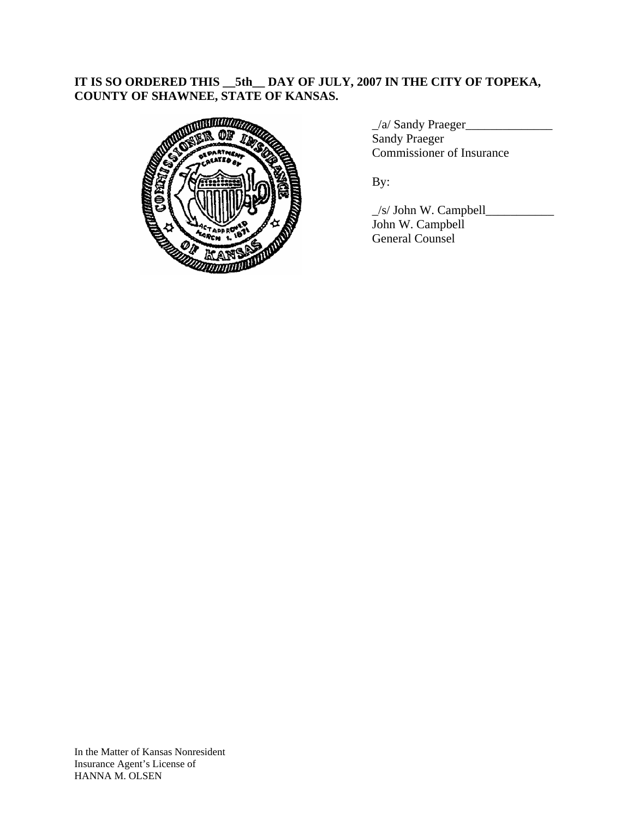## **IT IS SO ORDERED THIS \_\_5th\_\_ DAY OF JULY, 2007 IN THE CITY OF TOPEKA, COUNTY OF SHAWNEE, STATE OF KANSAS.**



\_/a/ Sandy Praeger\_\_\_\_\_\_\_\_\_\_\_\_\_\_ Sandy Praeger Commissioner of Insurance

 $\angle$ s/ John W. Campbell $\angle$  John W. Campbell General Counsel

In the Matter of Kansas Nonresident Insurance Agent's License of HANNA M. OLSEN